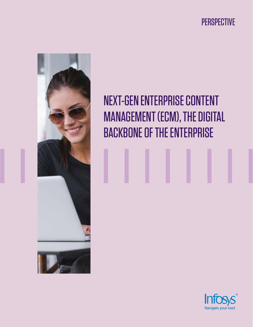PERSPECTIVE



# NEXT-GEN ENTERPRISE CONTENT MANAGEMENT (ECM), THE DIGITAL BACKBONE OF THE ENTERPRISE

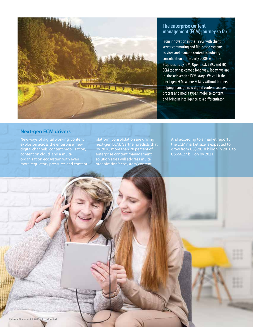

### **The enterprise content management (ECM) journey so far**

From innovation in the 1990s with client server commuting and file-based systems to store and manage content to industry consolidation in the early 2000s with the acquisitions by IBM, Open Text, EMC, and HP, ECM today has come a long way. Today, we are in the 'reinventing ECM' stage. We call it the 'next-gen ECM' where ECM is without borders, helping manage new digital content sources, process and media types, mobilize content, and bring in intelligence as a differentiator.

#### **Next-gen ECM drivers**

New ways of digital working, content explosion across the enterprise, new digital channels, content mobilization, content on cloud, and a multimore regulatory pressures and content platform consolidation are driving next-gen ECM. Gartner predicts that by 2018, more than 20 percent of enterprise content management solution sales will address multiorganization 'ecosystem' content.

And according to a market report , the ECM market size is expected to grow from US\$28.10 billion in 2016 to US\$66.27 billion by 2021.

External Document © 2018 Infosys Limited External Document © 2018 Infosys Limited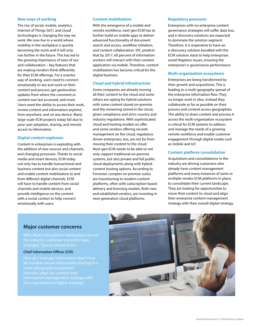#### **New ways of working**

The rise of social, mobile, analytics, Internet of Things (IoT), and cloud technologies is changing the way we work. We now live in a world where mobility in the workplace is quickly becoming the norm and it will only rise further in the future. This has led to the growing importance of ease of use and collaboration – key features that are making vendors think differently for their ECM offerings. For a smarter way of working, users need to connect emotionally to see and work on their content and process, get geolocation updates from where the comment or content was last accessed, and more. Users need the ability to access their work, review content and information anytime, from anywhere, and on any device. Many large-scale ECM projects today fail due to poor user adoption, sharing, and remote access to information.

#### **Digital content explosion**

Content in enterprises is exploding with the addition of new sources and channels, and changing processes. Thanks to social media and smart devices, ECM today not only has to handle transactional and business content but also social content and enable content mobilization to and from different digital channels. ECM will have to handle content from social channels and mobile devices, and provide intelligence on the content with a social context to help connect emotionally with users.

#### **Content mobilization**

With the emergence of a mobile and remote workforce, next-gen ECM has to further build on mobile apps to deliver advanced functionality of document search and access, workflow initiation, and content collaboration. IDC predicts that by 2017, 60 percent of information workers will interact with their content application via mobile. Therefore, content mobilization has become critical for the digital business.

#### **Cloud and hybrid infrastructure**

Some companies are already moving all their content to the cloud and some others are opting for hybrid solutions with some content stored on-premise and the remaining stored in the cloud, given compliance and strict country and industry regulations. With sophisticated cloud and hosting models on offer and some vendors offering records management on the cloud, regulatorydriven enterprises, too, are not far from moving their content to the cloud. Next-gen ECM needs to be able to not only support traditional on-premise systems, but also private and full public cloud deployments along with hybrid content hosting options. According to Forrester, complex on-premise suites are transitioning to modern content platforms, often with subscription-based delivery and licensing models. Both new and established vendors, are investing in next-generation cloud platforms.

#### **Regulatory pressures**

Enterprises with no enterprise content governance strategies will suffer data loss, and e-discovery solutions are expected to dominate the solution segment. Therefore, it is imperative to have an e-discovery solution bundled with the ECM solution stack to help enterprises avoid litigation issues, ensuring the enterprise's e-governance performance.

#### **Multi-organization ecosystems**

Enterprises are being transformed by their growth and acquisitions. This is leading to a multi-geography spread of the enterprise information flow. They no longer work in silos, instead they collaborate as far as possible on their process and content across geographies. The ability to share content and process it across the multi-organization ecosystem is critical for ECM systems to address and manage the needs of a growing remote workforce and enable customer engagement through digital media such as mobile and IoT.

#### **Content platform consolidation**

Acquisitions and consolidations in the industry are driving customers who already have content management platforms and many instances of same or multiple vendor ECM platforms in place, to consolidate their current landscape. They are looking for opportunities to move their content to cloud and align their enterprise content management strategy with their overall digital strategy.

#### **Major customer concerns**

#### **Chief Information Officer (CIO)**

information management strategy with

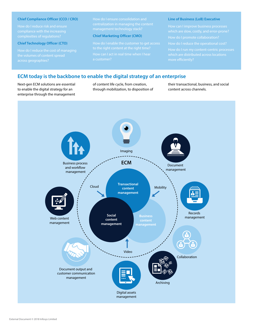#### **Chief Compliance Officer (CCO / CRO)**

#### **Chief Technology Officer (CTO)**

#### **Chief Marketing Officer (CMO)**

#### **Line of Business (LoB) Executive**

more efficiently?

#### **ECM today is the backbone to enable the digital strategy of an enterprise**

Next-gen ECM solutions are essential to enable the digital strategy for an enterprise through the management of content life cycle, from creation, through mobilization, to disposition of their transactional, business, and social content across channels.

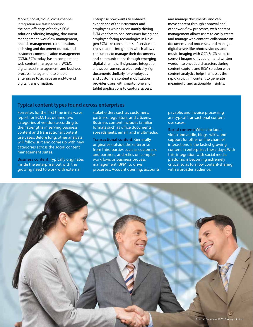Mobile, social, cloud, cross channel integration are fast becoming the core offerings of today's ECM solutions offering imaging, document management, workflow management, records management, collaboration, archiving and document output, and customer communication management (CCM). ECM today, has to complement web content management (WCM), digital asset management, and business process management to enable enterprises to achieve an end-to-end digital transformation.

Enterprise now wants to enhance experience of their customer and employees which is constantly driving ECM vendors to add consumer facing and employee facing technologies in Nextgen ECM like consumers self-service and cross channel integration which allows consumers to manage their documents and communications through emerging digital channels, E-signature integration allows consumers to electronically sign documents similarly for employees and customers content mobilization provides users with smartphone and tablet applications to capture, access,

and manage documents; and can move content through approval and other workflow processes, web content management allows users to easily create and manage web content, collaborate on documents and processes, and manage digital assets like photos, videos, and music, Imaging with OCR & ICR helps to convert images of typed or hand written words into encoded characters during content capture and ECM solution with content analytics helps harnesses the rapid growth in content to generate meaningful and actionable insights.

#### **Typical content types found across enterprises**

Forrester, for the first time in its wave report for ECM, has defined two categories of vendors according to their strengths in serving business content and transactional content use cases. Before long, other analysts will follow suit and come up with new categories across the social content management suites.

**Business content:** Typically originates inside the enterprise, but with the growing need to work with external

stakeholders such as customers, partners, regulators, and citizens. Business content includes familiar formats such as office documents, spreadsheets, email, and multimedia.

**Transactional content:** Generally originates outside the enterprise from third parties such as customers and partners, and relies on complex workflows or business process management (BPM) to drive processes. Account opening, accounts payable, and invoice processing are typical transactional content use cases.

**Social content:** Which includes video and audio, blogs, wikis, and support for other online channel interactions is the fastest growing content in enterprises these days. With this, integration with social media platforms is becoming extremely critical so as to allow content-sharing with a broader audience.

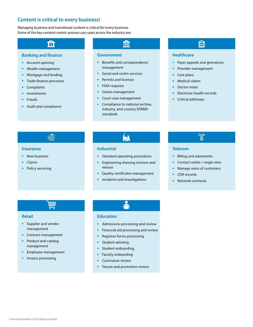### **Content is critical to every business!**

Managing business and transitional content is critical for every business. Some of the key content-centric process use cases across the industry are:

### ि

#### **Banking and finance**

- **•** Account opening
- **•** Wealth management
- **•** Mortgage and lending
- **•** Trade finance processes
- **•** Complaints
- **•** Investments
- **•** Frauds
- **•** Audit and compliance

### m

#### **Government**

- **•** Benefits and correspondence management
- **•** Social and victim services
- **•** Permits and licenses
- **•** FOIA requests
- **•** Grants management
- **•** Court case management
- **•** Compliance to national archive, industry, and country EDRMS standards

### 囧

#### **Healthcare**

- **•** Payer appeals and grievances
- **•** Provider management
- **•** Care plans
- **•** Medical claims
- **•** Doctor notes
- **•** Electronic health records
- **•** Critical pathways

### ර≊ි

#### **Insurance**

- **•** New business
- **•** Claims
- **•** Policy servicing

### ĺ.

#### **Industrial**

- **•** Standard operating procedures
- **•** Engineering drawing revision and release
- **•** Quality certificates management
- **•** Incidents and investigations

### $\mathbb{Z}^{(m)}$

#### **Telecom**

- **•** Billing and statements
- **•** Contact center / single view
- **•** Manage voice of customers
- **•** CDR records
- **•** Network contracts

 $\overline{\mathbf{H}}$ 

#### **Retail**

- **•** Supplier and vendor management
- **•** Contract management
- **•** Product and catalog management
- **•** Employee management
- **•** Invoice processing

#### **Education**

- **•** Admissions processing and review
- **•** Financial aid processing and review
- **•** Registrar forms processing
- **•** Student advising
- **•** Student onboarding
- **•** Faculty onboarding
- **•** Curriculum review
- **•** Tenure and promotion review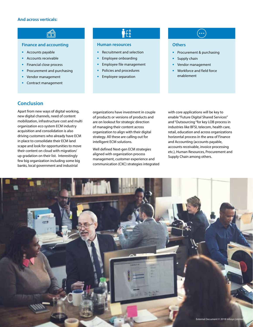#### **And across verticals:**

#### **Finance and accounting**

ଈ

- **•** Accounts payable
- **•** Accounts receivable
- **•** Financial close process
- **•** Procurement and purchasing
- **•** Vendor management
- **•** Contract management

# Ñ£

#### **Human resources**

- **•** Recruitment and selection
- **•** Employee onboarding
- **•** Employee file management
- **•** Policies and procedures
- **•** Employee separation

## $\left( \cdots \right)$

#### **Others**

- **•** Procurement & purchasing
- **•** Supply chain
- **•** Vendor management
- **•** Workforce and field force enablement

#### **Conclusion**

Apart from new ways of digital working, new digital channels, need of content mobilization, infrastructure cost and multi organization eco system ECM industry acquisition and consolidation is also driving customers who already have ECM in place to consolidate their ECM land scape and look for opportunities to move their content on cloud with migration/ up gradation on their list. Interestingly few big organization including some big banks, local government and industrial

organizations have investment in couple of products or versions of products and are on lookout for strategic direction of managing their content across organization to align with their digital strategy. All these are calling out for intelligent ECM solutions.

Well defined Next-gen ECM strategies aligned with organization process management, customer experience and communication (CXC) strategies integrated

with core applications will be key to enable "Future Digital Shared Services" and "Outsourcing "for key LOB process in industries like BFSI, telecom, health care, retail, education and across organizations horizontal process in the area of Finance and Accounting (accounts payable, accounts receivable, invoice processing etc.), Human Resources, Procurement and Supply Chain among others.